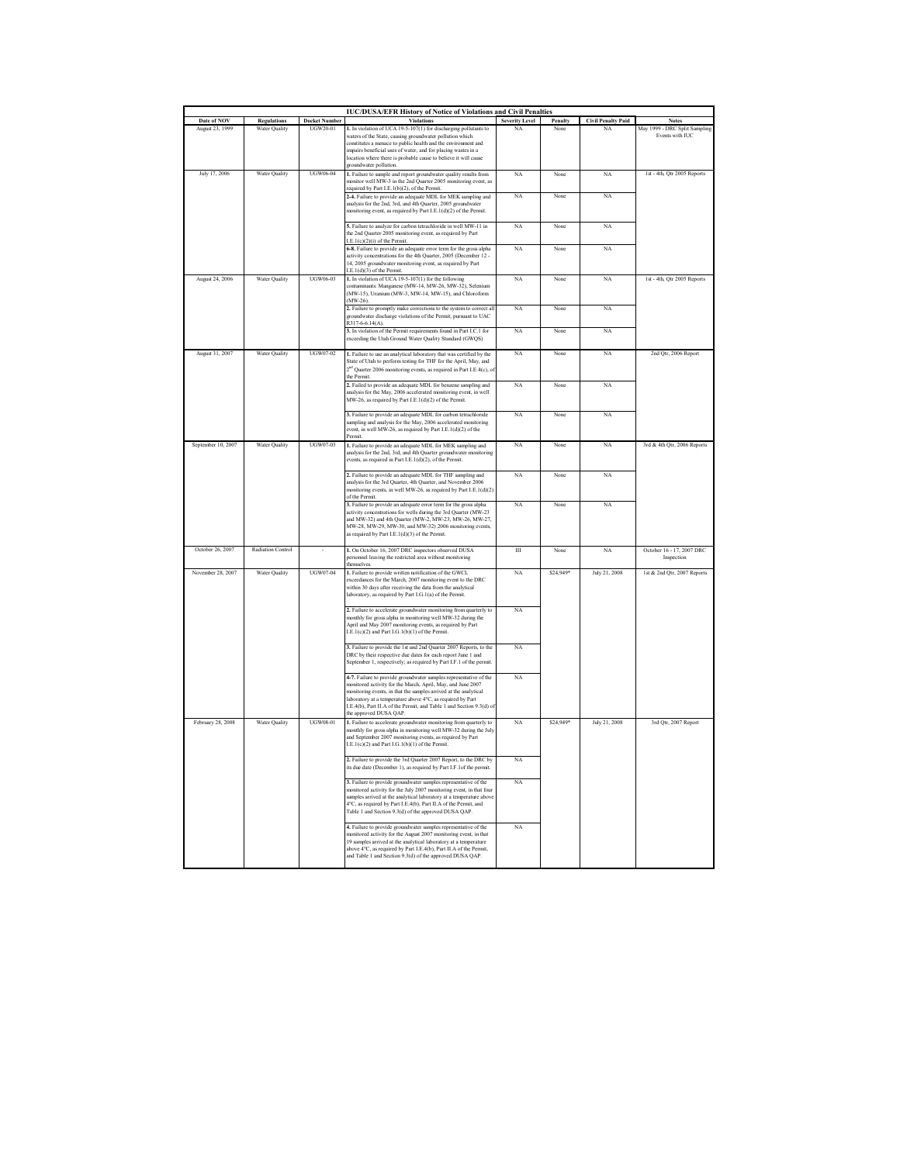| <b>IUC/DUSA/EFR History of Notice of Violations and Civil Penalties</b> |                      |                      |                                                                                                                                                                                                                                                                                                                                                                                 |                       |              |                           |                                                   |  |
|-------------------------------------------------------------------------|----------------------|----------------------|---------------------------------------------------------------------------------------------------------------------------------------------------------------------------------------------------------------------------------------------------------------------------------------------------------------------------------------------------------------------------------|-----------------------|--------------|---------------------------|---------------------------------------------------|--|
| Date of NOV                                                             | <b>Regulations</b>   | <b>Docket Number</b> | <b>Violations</b>                                                                                                                                                                                                                                                                                                                                                               | <b>Severity Level</b> | Penalty      | <b>Civil Penalty Paid</b> | <b>Notes</b>                                      |  |
| <b>August 23, 1999</b>                                                  | Water Ouality        | UGW20-01             | 1. In violation of UCA 19-5-107(1) for discharging pollutants to<br>waters of the State, causing groundwater pollution which<br>constitutes a menace to public health and the environment and<br>impairs beneficial uses of water, and for placing wastes in a<br>location where there is probable cause to believe it will cause<br>groundwater pollution.                     | NA                    | None         | NA                        | May 1999 - DRC Split Sampling<br>Events with H IC |  |
| July 17, 2006                                                           | <b>Water Ouality</b> | <b>UGW06-04</b>      | 1. Failure to sample and report groundwater quality results from<br>monitor well MW-3 in the 2nd Quarter 2005 monitoring event, as<br>required by Part I.E.1(b)(2), of the Permit.<br>2-4. Failure to provide an adequate MDL for MEK sampling and<br>analysis for the 2nd, 3rd, and 4th Quarter, 2005 groundwater                                                              | NA<br>NA              | None<br>None | NA<br>NA                  | 1st - 4th. Otr 2005 Reports                       |  |
|                                                                         |                      |                      | monitoring event, as required by Part I.E.1(d)(2) of the Permit.<br>5. Failure to analyze for carbon tetrachloride in well MW-11 in                                                                                                                                                                                                                                             | <b>NA</b>             | None         | NA                        |                                                   |  |
|                                                                         |                      |                      | the 2nd Quarter 2005 monitoring event, as required by Part<br>I.E.1(c)(2)(i) of the Permit.                                                                                                                                                                                                                                                                                     | NA                    |              |                           |                                                   |  |
|                                                                         |                      |                      | 6-8. Failure to provide an adequate error term for the gross alpha<br>activity concentrations for the 4th Quarter, 2005 (December 12 -<br>14, 2005 groundwater monitoring event, as required by Part<br>LE.1(d)(3) of the Permit.                                                                                                                                               |                       | None         | NA                        |                                                   |  |
| August 24, 2006                                                         | Water Quality        | UGW06-03             | 1. In violation of UCA 19-5-107(1) for the following<br>contaminants: Manganese (MW-14, MW-26, MW-32), Selenium<br>(MW-15), Uranium (MW-3, MW-14, MW-15), and Chloroform<br>$(MW-26)$                                                                                                                                                                                           | NA                    | None         | NA                        | 1st - 4th, Qtr 2005 Reports                       |  |
|                                                                         |                      |                      | 2. Failure to promptly make corrections to the system to correct all<br>groundwater discharge violations of the Permit, pursuant to UAC<br>R317-6-6.14(A).                                                                                                                                                                                                                      | NA                    | None         | NA                        |                                                   |  |
|                                                                         |                      |                      | 3. In violation of the Permit requirements found in Part I.C.1 for<br>exceeding the Utah Ground Water Quality Standard (GWQS)                                                                                                                                                                                                                                                   | NA                    | None         | NA                        |                                                   |  |
| August 31, 2007                                                         | <b>Water Ouality</b> | UGW07-02             | 1. Failure to use an analytical laboratory that was certified by the<br>State of Utah to perform testing for THF for the April, May, and<br>$2nd$ Quarter 2006 monitoring events, as required in Part I.E.4(c), or<br>the Permit                                                                                                                                                | NA                    | None         | NA                        | 2nd Otr, 2006 Report                              |  |
|                                                                         |                      |                      | 2. Failed to provide an adequate MDL for benzene sampling and<br>analysis for the May, 2006 accelerated monitoring event, in well<br>MW-26, as required by Part I.E.1(d)(2) of the Permit.                                                                                                                                                                                      | NA                    | None         | NA                        |                                                   |  |
|                                                                         |                      |                      | 3. Failure to provide an adequate MDL for carbon tetrachloride<br>sampling and analysis for the May, 2006 accelerated monitoring<br>event, in well MW-26, as required by Part I.E.1(d)(2) of the<br>Permit.                                                                                                                                                                     | NA                    | None         | NA                        |                                                   |  |
| September 10, 2007                                                      | <b>Water Ouality</b> | <b>UGW07-03</b>      | 1. Failure to provide an adequate MDL for MEK sampling and<br>analysis for the 2nd, 3rd, and 4th Quarter groundwater monitoring<br>events, as required in Part I.E.1(d)(2), of the Permit.                                                                                                                                                                                      | NA                    | None         | NA                        | 3rd & 4th Qtr, 2006 Reports                       |  |
|                                                                         |                      |                      | 2. Failure to provide an adequate MDL for THF sampling and<br>analysis for the 3rd Quarter, 4th Quarter, and November 2006<br>monitoring events, in well MW-26, as required by Part I.E.1(d)(2)<br>of the Permit.                                                                                                                                                               | NA                    | None         | NA                        |                                                   |  |
|                                                                         |                      |                      | 3. Failure to provide an adequate error term for the gross alpha<br>activity concentrations for wells during the 3rd Quarter (MW-23<br>and MW-32) and 4th Quarter (MW-2, MW-23, MW-26, MW-27,<br>MW-28, MW-29, MW-30, and MW-32) 2006 monitoring events,<br>as required by Part I.E.1(d)(3) of the Permit.                                                                      | NA                    | None         | NA                        |                                                   |  |
| October 26, 2007                                                        | Radiation Control    |                      | 1. On October 16, 2007 DRC inspectors observed DUSA<br>personnel leaving the restricted area without monitoring<br>hemselve                                                                                                                                                                                                                                                     | Ш                     | None         | NA                        | October 16 - 17, 2007 DRC<br>Inspection           |  |
| November 28, 2007                                                       | Water Quality        | <b>UGW07-04</b>      | 1. Failure to provide written notification of the GWCL<br>exceedances for the March, 2007 monitoring event to the DRC<br>within 30 days after receiving the data from the analytical<br>laboratory, as required by Part I.G.1(a) of the Permit.                                                                                                                                 | NA                    | \$24,949*    | July 21, 2008             | 1st & 2nd Qtr, 2007 Reports                       |  |
|                                                                         |                      |                      | 2. Failure to accelerate groundwater monitoring from quarterly to<br>monthly for gross alpha in monitoring well MW-32 during the<br>April and May 2007 monitoring events, as required by Part<br>I.E.1(c)(2) and Part I.G.1(b)(1) of the Permit.                                                                                                                                | NA                    |              |                           |                                                   |  |
|                                                                         |                      |                      | 3. Failure to provide the 1st and 2nd Quarter 2007 Reports, to the<br>DRC by their respective due dates for each report June 1 and<br>September 1, respectively; as required by Part I.F.1 of the permit.                                                                                                                                                                       | NA                    |              |                           |                                                   |  |
|                                                                         |                      |                      | 4-7. Failure to provide groundwater samples representative of the<br>monitored activity for the March, April, May, and June 2007<br>monitoring events, in that the samples arrived at the analytical<br>laboratory at a temperature above <sup>4°</sup> C, as required by Part<br>I.E.4(b), Part II.A of the Permit, and Table 1 and Section 9.3(d) o<br>the approved DUSA QAP. | NA                    |              |                           |                                                   |  |
| February 28, 2008                                                       | Water Quality        | <b>UGW08-01</b>      | 1. Failure to accelerate groundwater monitoring from quarterly to<br>nonthly for gross alpha in monitoring well MW-32 during the July<br>and September 2007 monitoring events, as required by Part<br>I.E.1(c)(2) and Part I.G.1(b)(1) of the Permit.                                                                                                                           | NA                    | \$24,949     | July 21, 2008             | 3rd Qtr, 2007 Report                              |  |
|                                                                         |                      |                      | 2. Failure to provide the 3rd Quarter 2007 Report, to the DRC by<br>its due date (December 1), as required by Part I.F.1 of the permit.                                                                                                                                                                                                                                         | NA                    |              |                           |                                                   |  |
|                                                                         |                      |                      | 3. Failure to provide groundwater samples representative of the<br>monitored activity for the July 2007 monitoring event, in that four<br>amples arrived at the analytical laboratory at a temperature abov<br>4°C, as required by Part I.E.4(b), Part II.A of the Permit, and<br>Table 1 and Section 9.3(d) of the approved DUSA QAP.                                          | NA                    |              |                           |                                                   |  |
|                                                                         |                      |                      | 4. Failure to provide groundwater samples representative of the<br>monitored activity for the August 2007 monitoring event, in that<br>19 samples arrived at the analytical laboratory at a temperature<br>above 4°C, as required by Part I.E.4(b), Part II.A of the Permit,<br>and Table 1 and Section 9.3(d) of the approved DUSA QAP.                                        | NA                    |              |                           |                                                   |  |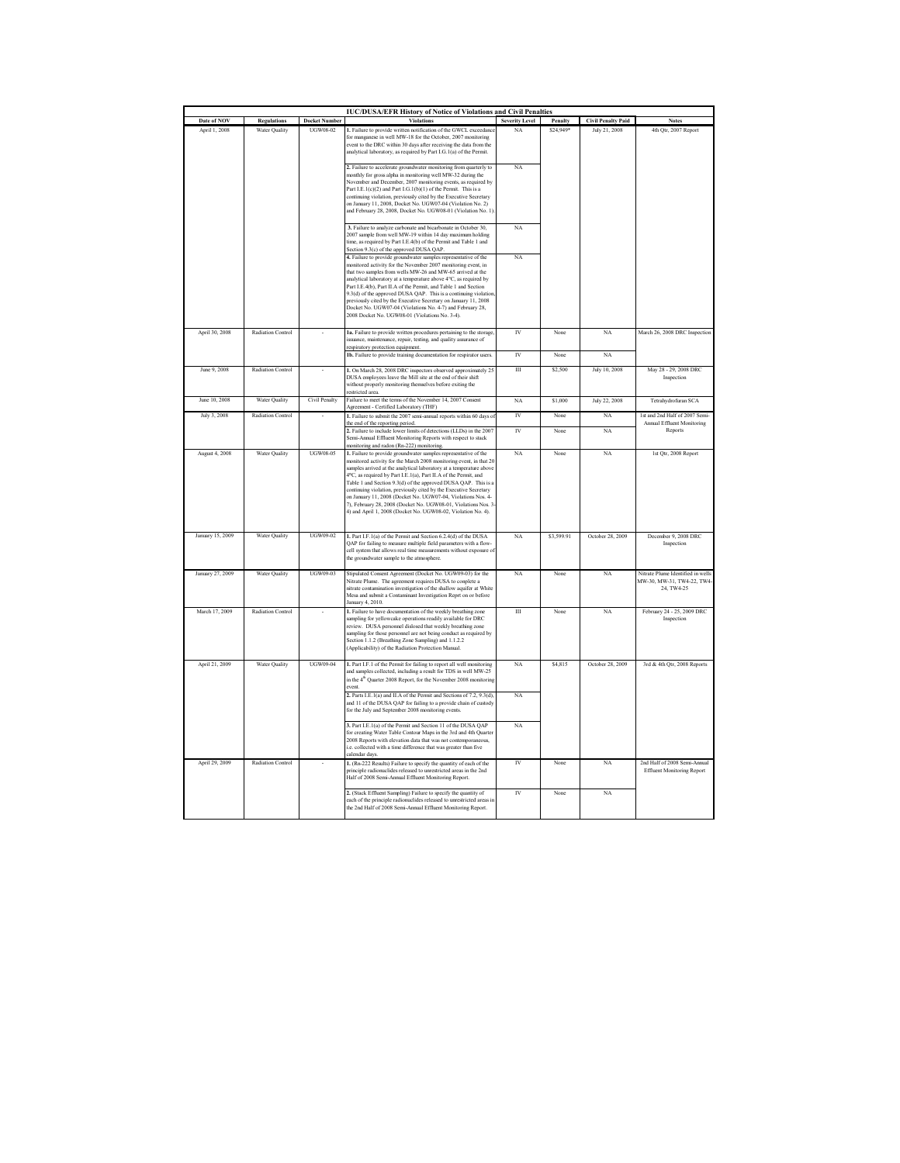| <b>IUC/DUSA/EFR History of Notice of Violations and Civil Penalties</b> |                          |                      |                                                                                                                                                                                                                                                                                                                                                                                                                                                                                                                                                                                                                        |                       |            |                           |                                                                              |  |
|-------------------------------------------------------------------------|--------------------------|----------------------|------------------------------------------------------------------------------------------------------------------------------------------------------------------------------------------------------------------------------------------------------------------------------------------------------------------------------------------------------------------------------------------------------------------------------------------------------------------------------------------------------------------------------------------------------------------------------------------------------------------------|-----------------------|------------|---------------------------|------------------------------------------------------------------------------|--|
| Date of NOV                                                             | <b>Regulations</b>       | <b>Docket Number</b> | <b>Violations</b>                                                                                                                                                                                                                                                                                                                                                                                                                                                                                                                                                                                                      | <b>Severity Level</b> | Penalty    | <b>Civil Penalty Paid</b> | <b>Notes</b>                                                                 |  |
| April 1, 2008                                                           | <b>Water Quality</b>     | UGW08-02             | 1. Failure to provide written notification of the GWCL exceedant<br>for manganese in well MW-18 for the October, 2007 monitoring<br>event to the DRC within 30 days after receiving the data from the<br>analytical laboratory, as required by Part I.G.1(a) of the Permit.<br>2. Failure to accelerate groundwater monitoring from quarterly to                                                                                                                                                                                                                                                                       | NA<br>NA              | \$24,949*  | July 21, 2008             | 4th Qtr, 2007 Report                                                         |  |
|                                                                         |                          |                      | monthly for gross alpha in monitoring well MW-32 during the<br>November and December, 2007 monitoring events, as required by<br>Part I.E.1(c)(2) and Part I.G.1(b)(1) of the Permit. This is a<br>continuing violation, previously cited by the Executive Secretary<br>on January 11, 2008, Docket No. UGW07-04 (Violation No. 2)<br>and February 28, 2008, Docket No. UGW08-01 (Violation No. 1)                                                                                                                                                                                                                      |                       |            |                           |                                                                              |  |
|                                                                         |                          |                      | 3. Failure to analyze carbonate and bicarbonate in October 30,<br>2007 sample from well MW-19 within 14 day maximum holding<br>time, as required by Part I.E.4(b) of the Permit and Table 1 and<br>Section 9.3(c) of the approved DUSA QAP.                                                                                                                                                                                                                                                                                                                                                                            | NA                    |            |                           |                                                                              |  |
|                                                                         |                          |                      | 4. Failure to provide groundwater samples representative of the<br>monitored activity for the November 2007 monitoring event, in<br>that two samples from wells MW-26 and MW-65 arrived at the<br>analytical laboratory at a temperature above 4°C, as required by<br>Part I.E.4(b), Part II.A of the Permit, and Table 1 and Section<br>9.3(d) of the approved DUSA QAP. This is a continuing violation<br>previously cited by the Executive Secretary on January 11, 2008<br>Docket No. UGW07-04 (Violations No. 4-7) and February 28,<br>2008 Docket No. UGW08-01 (Violations No. 3-4).                             | NA                    |            |                           |                                                                              |  |
| April 30, 2008                                                          | Radiation Control        |                      | Ia. Failure to provide written procedures pertaining to the storage,<br>ssuance, maintenance, repair, testing, and quality assurance of<br>respiratory protection equipment                                                                                                                                                                                                                                                                                                                                                                                                                                            | $\overline{IV}$       | None       | NA                        | March 26, 2008 DRC Inspection                                                |  |
|                                                                         |                          |                      | 1b. Failure to provide training documentation for respirator users.                                                                                                                                                                                                                                                                                                                                                                                                                                                                                                                                                    | $\overline{W}$        | None       | NA                        |                                                                              |  |
| June 9, 2008                                                            | <b>Radiation Control</b> |                      | 1. On March 28, 2008 DRC inspectors observed approximately 25<br>DUSA employees leave the Mill site at the end of their shift<br>without properly monitoring themselves before exiting the<br>restricted area.                                                                                                                                                                                                                                                                                                                                                                                                         | $\overline{III}$      | \$2,500    | July 10, 2008             | May 28 - 29, 2008 DRC<br>Inspection                                          |  |
| June 10, 2008                                                           | Water Quality            | Civil Penalty        | Failure to meet the terms of the November 14, 2007 Consent<br>Agreement - Certified Laboratory (THF)                                                                                                                                                                                                                                                                                                                                                                                                                                                                                                                   | NA                    | \$1,000    | July 22, 2008             | Tetrahydrofuran SCA                                                          |  |
| July 3, 2008                                                            | <b>Radiation Control</b> |                      | 1. Failure to submit the 2007 semi-annual reports within 60 days of<br>the end of the reporting period.                                                                                                                                                                                                                                                                                                                                                                                                                                                                                                                | $\overline{N}$        | None       | NA                        | 1st and 2nd Half of 2007 Semi-<br>Annual Effluent Monitoring                 |  |
|                                                                         |                          |                      | 2. Failure to include lower limits of detections (LLDs) in the 2007<br>Semi-Annual Effluent Monitoring Reports with respect to stack<br>monitoring and radon (Rn-222) monitoring                                                                                                                                                                                                                                                                                                                                                                                                                                       | $\overline{W}$        | None       | NA                        | Reports                                                                      |  |
| August 4, 2008                                                          | <b>Water Ouality</b>     | <b>UGW08-05</b>      | 1. Failure to provide groundwater samples representative of the<br>monitored activity for the March 2008 monitoring event, in that 2<br>samples arrived at the analytical laboratory at a temperature abow<br>4°C, as required by Part I.E.1(a), Part II.A of the Permit, and<br>Table 1 and Section 9.3(d) of the approved DUSA QAP. This is a<br>continuing violation, previously cited by the Executive Secretary<br>on January 11, 2008 (Docket No. UGW07-04, Violations Nos. 4-<br>7), February 28, 2008 (Docket No. UGW08-01, Violations Nos. 3-<br>4) and April 1, 2008 (Docket No. UGW08-02, Violation No. 4). | NA                    | None       | NA                        | 1st Qtr, 2008 Report                                                         |  |
| January 15, 2009                                                        | Water Quality            | UGW09-02             | 1. Part I.F.1(a) of the Permit and Section 6.2.4(d) of the DUSA<br>QAP for failing to measure multiple field parameters with a flow-<br>cell system that allows real time measurements without exposure of<br>the groundwater sample to the atmosphere.                                                                                                                                                                                                                                                                                                                                                                | NA                    | \$3,599.91 | October 28, 2009          | December 9, 2008 DRC<br>Inspection                                           |  |
| January 27, 2009                                                        | <b>Water Quality</b>     | UGW09-03             | Stipulated Consent Agreement (Docket No. UGW09-03) for the<br>Nitrate Plume. The agreement requires DUSA to conplete a<br>nitrate contamination investigation of the shallow aquifer at White<br>Mesa and submit a Contaminant Investigation Reprt on or before<br>January 4, 2010.                                                                                                                                                                                                                                                                                                                                    | NA                    | None       | NA                        | Nitrate Plume Identified in wells<br>MW-30, MW-31, TW4-22, TW4<br>24, TW4-25 |  |
| March 17, 2009                                                          | <b>Radiation Control</b> |                      | 1. Failure to have documentation of the weekly breathing zone<br>sampling for yellowcake operations readily available for DRC<br>review. DUSA personnel dislosed that weekly breathing zone<br>sampling for those personnel are not being conduct as required by<br>Section 1.1.2 (Breathing Zone Sampling) and 1.1.2.2<br>(Applicability) of the Radiation Protection Manual.                                                                                                                                                                                                                                         | $\overline{III}$      | None       | NA                        | February 24 - 25, 2009 DRC<br>Inspection                                     |  |
| April 21, 2009                                                          | Water Quality            | UGW09-04             | 1. Part I.F.1 of the Permit for failing to report all well monitoring<br>and samples collected, including a result for TDS in well MW-25<br>in the 4 <sup>th</sup> Quarter 2008 Report, for the November 2008 monitoring<br>event                                                                                                                                                                                                                                                                                                                                                                                      | NA                    | S4.815     | October 28, 2009          | 3rd & 4th Qtr, 2008 Reports                                                  |  |
|                                                                         |                          |                      | 2. Parts I.E.1(a) and II.A of the Permit and Sections of 7.2, 9.3(d),<br>and 11 of the DUSA QAP for failing to a provide chain of custody<br>for the July and September 2008 monitoring events.                                                                                                                                                                                                                                                                                                                                                                                                                        | NA                    |            |                           |                                                                              |  |
|                                                                         |                          |                      | 3. Part I.E.1(a) of the Permit and Section 11 of the DUSA QAP<br>for creating Water Table Contour Maps in the 3rd and 4th Quarter<br>2008 Reports with elevation data that was not contemporaneous,<br>i.e. collected with a time difference that was greater than five<br>calendar days.                                                                                                                                                                                                                                                                                                                              | NA                    |            |                           |                                                                              |  |
| April 29, 2009                                                          | Radiation Control        |                      | 1. (Rn-222 Results) Failure to specify the quantity of each of the<br>principle radionuclides released to unrestricted areas in the 2nd<br>Half of 2008 Semi-Annual Effluent Monitoring Report.                                                                                                                                                                                                                                                                                                                                                                                                                        | IV                    | None       | NA                        | 2nd Half of 2008 Semi-Annual<br><b>Effluent Monitoring Report</b>            |  |
|                                                                         |                          |                      | 2. (Stack Effluent Sampling) Failure to specify the quantity of<br>each of the principle radionuclides released to unrestricted areas in<br>the 2nd Half of 2008 Semi-Annual Effluent Monitoring Report.                                                                                                                                                                                                                                                                                                                                                                                                               | IV                    | None       | NA                        |                                                                              |  |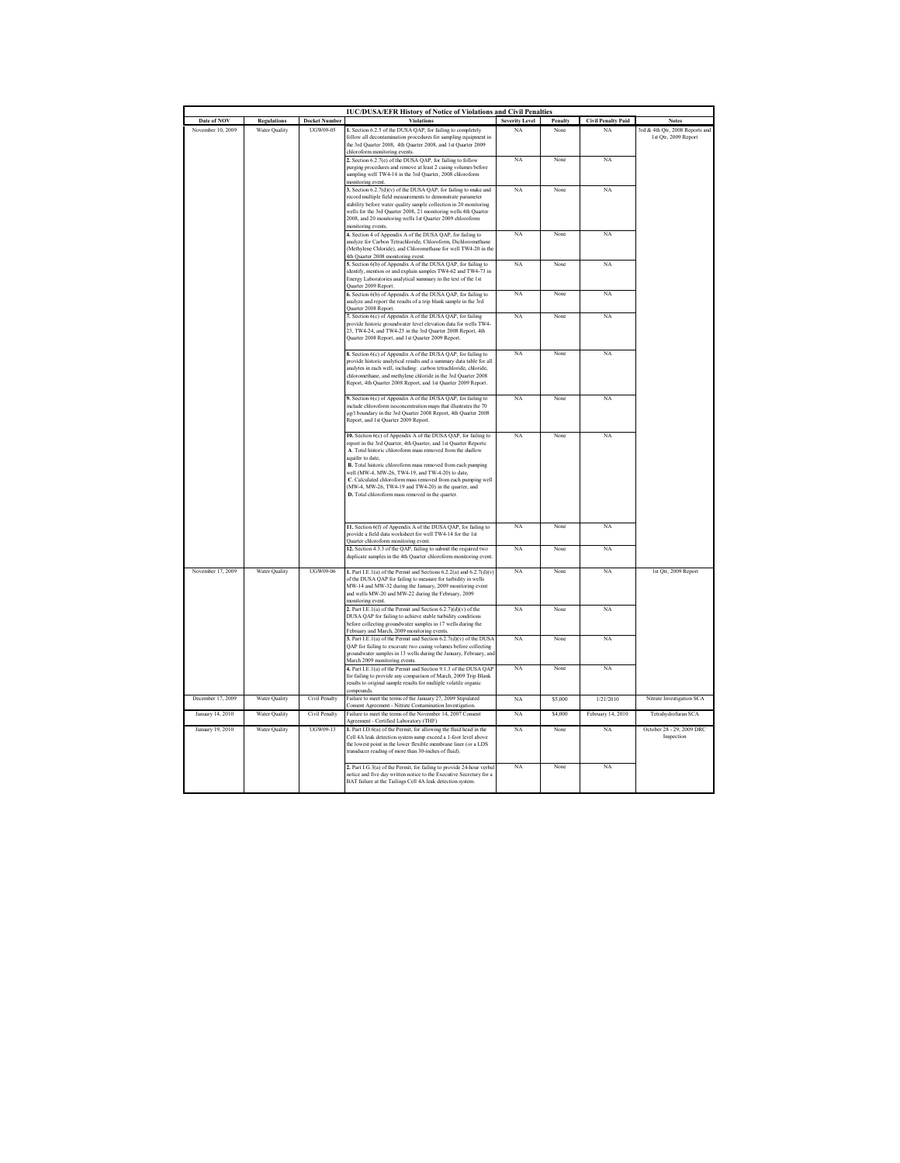| Date of NOV       |                      | <b>Docket Number</b> | <b>IUC/DUSA/EFR History of Notice of Violations and Civil Penalties</b><br><b>Violation</b>                                                                                                                                                                                                                                                                                                                                                                                                                         |                                                                                                                                                                                                                                     |         |                                 | <b>Notes</b>                            |
|-------------------|----------------------|----------------------|---------------------------------------------------------------------------------------------------------------------------------------------------------------------------------------------------------------------------------------------------------------------------------------------------------------------------------------------------------------------------------------------------------------------------------------------------------------------------------------------------------------------|-------------------------------------------------------------------------------------------------------------------------------------------------------------------------------------------------------------------------------------|---------|---------------------------------|-----------------------------------------|
|                   | <b>Regulations</b>   |                      | 1. Section 6.2.5 of the DUSA QAP, for failing to completely                                                                                                                                                                                                                                                                                                                                                                                                                                                         | <b>Severity Level</b><br>NA                                                                                                                                                                                                         | Penalty | <b>Civil Penalty Paid</b><br>NA | 3rd & 4th Qtr, 2008 Reports and         |
| November 10, 2009 | Water Quality        | UGW09-05             | follow all decontamination procedures for sampling equipment in<br>the 3rd Quarter 2008, 4th Quarter 2008, and 1st Quarter 2009<br>chloroform monitoring events.                                                                                                                                                                                                                                                                                                                                                    |                                                                                                                                                                                                                                     | None    |                                 | 1st Qtr, 2009 Report                    |
|                   |                      |                      | 2. Section 6.2.7(e) of the DUSA QAP, for failing to follow<br>purging procedures and remove at least 2 casing volumes before<br>sampling well TW4-14 in the 3rd Quarter, 2008 chloroform<br>monitoring event.                                                                                                                                                                                                                                                                                                       | NA                                                                                                                                                                                                                                  | None    | NA                              |                                         |
|                   |                      |                      | 3. Section 6.2.7(d)(v) of the DUSA QAP, for failing to make and<br>record multiple field measurements to demonstrate parameter<br>stability before water quality sample collection in 20 monitoring<br>wells for the 3rd Quarter 2008, 21 monitoring wells 4th Quarter<br>2008, and 20 monitoring wells 1st Quarter 2009 chloroform<br>monitoring events.                                                                                                                                                           | NA                                                                                                                                                                                                                                  | None    | NA                              |                                         |
|                   |                      |                      |                                                                                                                                                                                                                                                                                                                                                                                                                                                                                                                     | 4. Section 4 of Appendix A of the DUSA QAP, for failing to<br>analyze for Carbon Tetrachloride, Chloroform, Dichloromethane<br>(Methylene Chloride), and Chloromethane for well TW4-20 in the<br>4th Quarter 2008 monitoring event. | NA      | None                            | NA                                      |
|                   |                      |                      | 5. Section 6(b) of Appendix A of the DUSA QAP, for failing to<br>identify, mention or and explain samples TW4-62 and TW4-73 in<br>Energy Laboratories analytical summary in the text of the 1st<br>Quarter 2009 Report.                                                                                                                                                                                                                                                                                             | NA                                                                                                                                                                                                                                  | None    | NA                              |                                         |
|                   |                      |                      | 6. Section 6(b) of Appendix A of the DUSA QAP, for failing to<br>analyze and report the results of a trip blank sample in the 3rd<br>Quarter 2008 Report.                                                                                                                                                                                                                                                                                                                                                           | NA                                                                                                                                                                                                                                  | None    | NA                              |                                         |
|                   |                      |                      | 7. Section 6(c) of Appendix A of the DUSA QAP, for failing<br>provide historic groundwater level elevation data for wells TW4-<br>23, TW4-24, and TW4-25 in the 3rd Quarter 2008 Report, 4th<br>Quarter 2008 Report, and 1st Quarter 2009 Report.                                                                                                                                                                                                                                                                   | NA                                                                                                                                                                                                                                  | None.   | NA                              |                                         |
|                   |                      |                      | 8. Section 6(c) of Appendix A of the DUSA QAP, for failing to<br>provide historic analytical results and a summary data table for all<br>analytes in each well, including: carbon tetrachloride, chloride,<br>chloromethane, and methylene chloride in the 3rd Quarter 2008<br>Report, 4th Quarter 2008 Report, and 1st Quarter 2009 Report.                                                                                                                                                                        | NA                                                                                                                                                                                                                                  | None    | NA                              |                                         |
|                   |                      |                      | 9. Section 6(c) of Appendix A of the DUSA QAP, for failing to<br>include chloroform isoconcentration maps that illustrates the 70<br>µg/l boundary in the 3rd Quarter 2008 Report, 4th Quarter 2008<br>Report, and 1st Quarter 2009 Report.                                                                                                                                                                                                                                                                         | NA                                                                                                                                                                                                                                  | None    | NA                              |                                         |
|                   |                      |                      | 10. Section 6(c) of Appendix A of the DUSA QAP, for failing to<br>report in the 3rd Quarter, 4th Quarter, and 1st Quarter Reports:<br>A. Total historic chloroform mass removed from the shallow<br>aquifer to date.<br>B. Total historic chloroform mass removed from each pumping<br>well (MW-4, MW-26, TW4-19, and TW-4-20) to date,<br>C. Calculated chloroform mass removed from each pumping well<br>(MW-4, MW-26, TW4-19 and TW4-20) in the quarter, and<br>D. Total chloroform mass removed in the quarter. | NA                                                                                                                                                                                                                                  | None    | NA                              |                                         |
|                   |                      |                      | 11. Section 6(f) of Appendix A of the DUSA QAP, for failing to<br>provide a field data worksheet for well TW4-14 for the 1st<br>Quarter chloroform monitoring event.                                                                                                                                                                                                                                                                                                                                                | NA                                                                                                                                                                                                                                  | None    | NA                              |                                         |
|                   |                      |                      | 12. Section 4.3.3 of the QAP, failing to submit the required two<br>duplicate samples in the 4th Quarter chloroform monitoring event.                                                                                                                                                                                                                                                                                                                                                                               | NA                                                                                                                                                                                                                                  | None    | NA                              |                                         |
| November 17, 2009 | Water Quality        | <b>UGW09-06</b>      | 1. Part I.E.1(a) of the Permit and Sections $6.2.2(a)$ and $6.2.7(d)(v)$<br>of the DUSA QAP for failing to measure for turbidity in wells<br>MW-14 and MW-32 during the January, 2009 monitoring event<br>and wells MW-20 and MW-22 during the February, 2009<br>monitoring event.                                                                                                                                                                                                                                  | NA                                                                                                                                                                                                                                  | None    | NA                              | 1st Qtr, 2009 Report                    |
|                   |                      |                      | 2. Part I.E.1(a) of the Permit and Section 6.2.7)(d)(v) of the<br>DUSA QAP for failing to achieve stable turbidity conditions<br>before collecting groundwater samples in 17 wells during the<br>February and March, 2009 monitoring events.                                                                                                                                                                                                                                                                        | NA                                                                                                                                                                                                                                  | None    | NA                              |                                         |
|                   |                      |                      | 3. Part I.E.1(a) of the Permit and Section 6.2.7(d)(v) of the DUSA<br>QAP for failing to excavate two casing volumes before collecting<br>groundwater samples in 13 wells during the January, February, and<br>March 2009 monitoring events.                                                                                                                                                                                                                                                                        | NA                                                                                                                                                                                                                                  | None    | NA                              |                                         |
|                   |                      |                      | 4. Part I.E.1(a) of the Permit and Section 9.1.3 of the DUSA QAP<br>for failing to provide any comparison of March, 2009 Trip Blank<br>results to original sample results for multiple volatile organic<br>compounds.                                                                                                                                                                                                                                                                                               | NA                                                                                                                                                                                                                                  | None    | NA                              |                                         |
| December 17 2009  | Water Ouality        | Civil Penalty        | Failure to meet the terms of the January 27, 2009 Stipulated                                                                                                                                                                                                                                                                                                                                                                                                                                                        | NA                                                                                                                                                                                                                                  | \$5,000 | 1/21/2010                       | Nitrate Investigation SCA               |
| January 14, 2010  | <b>Water Ouality</b> | Civil Penalty        | Consent Agreement - Nitrate Contamination Investigation.<br>Failure to meet the terms of the November 14, 2007 Consent                                                                                                                                                                                                                                                                                                                                                                                              | NA                                                                                                                                                                                                                                  | \$4,000 | February 14, 2010               | Tetrahydrofuran SCA                     |
| January 19, 2010  | <b>Water Ouality</b> | UGW09-13             | Agreement - Certified Laboratory (THF)<br>1. Part I.D.6(a) of the Permit, for allowing the fluid head in the<br>Cell 4A leak detection system sump exceed a 1-foot level above<br>the lowest point in the lower flexible membrane liner (or a LDS<br>transducer reading of more than 30-inches of fluid).                                                                                                                                                                                                           | NA                                                                                                                                                                                                                                  | None    | NA                              | October 28 - 29, 2009 DRC<br>Inspection |
|                   |                      |                      | 2. Part I.G.3(a) of the Permit, for failing to provide 24-hour verbal<br>notice and five day written notice to the Executive Secretary for a<br>BAT failure at the Tailings Cell 4A leak detection system.                                                                                                                                                                                                                                                                                                          | NA                                                                                                                                                                                                                                  | None    | NA                              |                                         |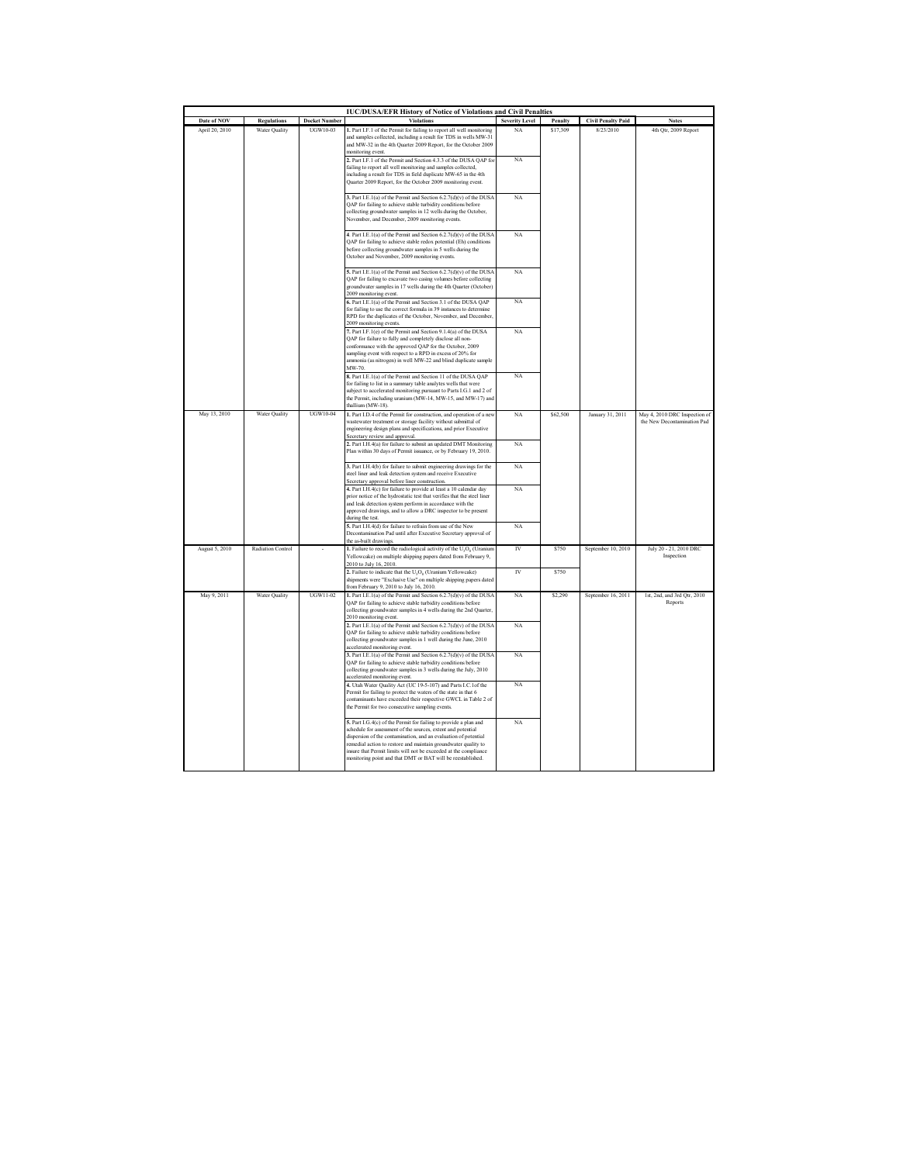| <b>IUC/DUSA/EFR History of Notice of Violations and Civil Penalties</b> |                          |                      |                                                                                                                                           |                       |          |                           |                                        |  |
|-------------------------------------------------------------------------|--------------------------|----------------------|-------------------------------------------------------------------------------------------------------------------------------------------|-----------------------|----------|---------------------------|----------------------------------------|--|
| Date of NOV                                                             | <b>Regulations</b>       | <b>Docket Number</b> | <b>Violations</b>                                                                                                                         | <b>Severity Level</b> | Penalty  | <b>Civil Penalty Paid</b> | <b>Notes</b>                           |  |
| April 20, 2010                                                          | Water Quality            | <b>UGW10-03</b>      | 1. Part I.F.1 of the Permit for failing to report all well monitoring<br>and samples collected, including a result for TDS in wells MW-31 | NA                    | \$17,309 | 8/23/2010                 | 4th Qtr, 2009 Report                   |  |
|                                                                         |                          |                      | and MW-32 in the 4th Quarter 2009 Report, for the October 2009                                                                            |                       |          |                           |                                        |  |
|                                                                         |                          |                      | monitoring event.                                                                                                                         |                       |          |                           |                                        |  |
|                                                                         |                          |                      | 2. Part I.F.1 of the Permit and Section 4.3.3 of the DUSA QAP for<br>failing to report all well monitoring and samples collected,         | NA                    |          |                           |                                        |  |
|                                                                         |                          |                      | including a result for TDS in field duplicate MW-65 in the 4th                                                                            |                       |          |                           |                                        |  |
|                                                                         |                          |                      | Quarter 2009 Report, for the October 2009 monitoring event.                                                                               |                       |          |                           |                                        |  |
|                                                                         |                          |                      | 3. Part I.E.1(a) of the Permit and Section 6.2.7(d)(v) of the DUSA                                                                        | NA                    |          |                           |                                        |  |
|                                                                         |                          |                      | QAP for failing to achieve stable turbidity conditions before                                                                             |                       |          |                           |                                        |  |
|                                                                         |                          |                      | collecting groundwater samples in 12 wells during the October,<br>November, and December, 2009 monitoring events.                         |                       |          |                           |                                        |  |
|                                                                         |                          |                      |                                                                                                                                           |                       |          |                           |                                        |  |
|                                                                         |                          |                      | 4. Part I.E.1(a) of the Permit and Section 6.2.7(d)(v) of the DUSA                                                                        | NA                    |          |                           |                                        |  |
|                                                                         |                          |                      | QAP for failing to achieve stable redox potential (Eh) conditions<br>before collecting groundwater samples in 5 wells during the          |                       |          |                           |                                        |  |
|                                                                         |                          |                      | October and November, 2009 monitoring events.                                                                                             |                       |          |                           |                                        |  |
|                                                                         |                          |                      | 5. Part I.E.1(a) of the Permit and Section 6.2.7(d)(v) of the DUSA                                                                        | NA                    |          |                           |                                        |  |
|                                                                         |                          |                      | QAP for failing to excavate two casing volumes before collecting                                                                          |                       |          |                           |                                        |  |
|                                                                         |                          |                      | groundwater samples in 17 wells during the 4th Quarter (October)                                                                          |                       |          |                           |                                        |  |
|                                                                         |                          |                      | 2009 monitoring event.<br>6. Part I.E.1(a) of the Permit and Section 3.1 of the DUSA QAP                                                  | NA                    |          |                           |                                        |  |
|                                                                         |                          |                      | for failing to use the correct formula in 39 instances to determine                                                                       |                       |          |                           |                                        |  |
|                                                                         |                          |                      | RPD for the duplicates of the October, November, and December,                                                                            |                       |          |                           |                                        |  |
|                                                                         |                          |                      | 2009 monitoring events.<br>7. Part I.F.1(e) of the Permit and Section 9.1.4(a) of the DUSA                                                | NA                    |          |                           |                                        |  |
|                                                                         |                          |                      | OAP for failure to fully and completely disclose all non-                                                                                 |                       |          |                           |                                        |  |
|                                                                         |                          |                      | conformance with the approved QAP for the October, 2009<br>sampling event with respect to a RPD in excess of 20% for                      |                       |          |                           |                                        |  |
|                                                                         |                          |                      | ammonia (as nitrogen) in well MW-22 and blind duplicate sample                                                                            |                       |          |                           |                                        |  |
|                                                                         |                          |                      | MW-70.                                                                                                                                    |                       |          |                           |                                        |  |
|                                                                         |                          |                      | 8. Part I.E.1(a) of the Permit and Section 11 of the DUSA QAP<br>for failing to list in a summary table analytes wells that were          | NA                    |          |                           |                                        |  |
|                                                                         |                          |                      | subject to accelerated monitoring pursuant to Parts I.G.1 and 2 of                                                                        |                       |          |                           |                                        |  |
|                                                                         |                          |                      | the Permit, including uranium (MW-14, MW-15, and MW-17) and<br>thallium (MW-18).                                                          |                       |          |                           |                                        |  |
| May 13, 2010                                                            | Water Quality            | UGW10-04             | 1. Part I.D.4 of the Permit for construction, and operation of a new                                                                      | NA                    | \$62,500 | January 31, 2011          | May 4, 2010 DRC Inspection of          |  |
|                                                                         |                          |                      | wastewater treatment or storage facility without submittal of                                                                             |                       |          |                           | the New Decontamination Pad            |  |
|                                                                         |                          |                      | engineering design plans and specifications, and prior Executive<br>Secretary review and approval.                                        |                       |          |                           |                                        |  |
|                                                                         |                          |                      | 2. Part I.H.4(a) for failure to submit an updated DMT Monitoring                                                                          | NA                    |          |                           |                                        |  |
|                                                                         |                          |                      | Plan within 30 days of Permit issuance, or by February 19, 2010.                                                                          |                       |          |                           |                                        |  |
|                                                                         |                          |                      | 3. Part I.H.4(b) for failure to submit engineering drawings for the                                                                       | NA                    |          |                           |                                        |  |
|                                                                         |                          |                      | steel liner and leak detection system and receive Executive                                                                               |                       |          |                           |                                        |  |
|                                                                         |                          |                      | Secretary approval before liner construction.<br>4. Part I.H.4(c) for failure to provide at least a 10 calendar day                       | NA                    |          |                           |                                        |  |
|                                                                         |                          |                      | prior notice of the hydrostatic test that verifies that the steel liner                                                                   |                       |          |                           |                                        |  |
|                                                                         |                          |                      | and leak detection system perform in accordance with the                                                                                  |                       |          |                           |                                        |  |
|                                                                         |                          |                      | approved drawings, and to allow a DRC inspector to be present<br>during the test.                                                         |                       |          |                           |                                        |  |
|                                                                         |                          |                      | 5. Part I.H.4(d) for failure to refrain from use of the New                                                                               | NA                    |          |                           |                                        |  |
|                                                                         |                          |                      | Decontamination Pad until after Executive Secretary approval of<br>the as-built drawings.                                                 |                       |          |                           |                                        |  |
| August 5, 2010                                                          | <b>Radiation Control</b> |                      | 1. Failure to record the radiological activity of the $U_3O_8$ (Uranium                                                                   | <b>IV</b>             | \$750    | September 10, 2010        | July 20 - 21, 2010 DRC                 |  |
|                                                                         |                          |                      | Yellowcake) on multiple shipping papers dated from February 9,                                                                            |                       |          |                           | Inspection                             |  |
|                                                                         |                          |                      | 2010 to July 16, 2010.<br>2. Failure to indicate that the U <sub>3</sub> O <sub>8</sub> (Uranium Yellowcake)                              | IV                    | \$750    |                           |                                        |  |
|                                                                         |                          |                      | shipments were "Exclusive Use" on multiple shipping papers dated                                                                          |                       |          |                           |                                        |  |
|                                                                         |                          |                      | from February 9, 2010 to July 16, 2010.                                                                                                   |                       |          |                           |                                        |  |
| May 9, 2011                                                             | Water Quality            | <b>UGW11-02</b>      | 1. Part I.E.1(a) of the Permit and Section 6.2.7(d)(v) of the DUSA<br>QAP for failing to achieve stable turbidity conditions before       | NA                    | \$2,290  | September 16, 2011        | 1st, 2nd, and 3rd Qtr, 2010<br>Reports |  |
|                                                                         |                          |                      | collecting groundwater samples in 4 wells during the 2nd Quarter,                                                                         |                       |          |                           |                                        |  |
|                                                                         |                          |                      | 2010 monitoring event.                                                                                                                    | NA                    |          |                           |                                        |  |
|                                                                         |                          |                      | 2. Part I.E.1(a) of the Permit and Section 6.2.7(d)(v) of the DUSA<br>OAP for failing to achieve stable turbidity conditions before       |                       |          |                           |                                        |  |
|                                                                         |                          |                      | collecting groundwater samples in 1 well during the June, 2010                                                                            |                       |          |                           |                                        |  |
|                                                                         |                          |                      | accelerated monitoring event.<br>3. Part I.E.1(a) of the Permit and Section 6.2.7(d)(v) of the DUSA                                       | NA                    |          |                           |                                        |  |
|                                                                         |                          |                      | QAP for failing to achieve stable turbidity conditions before                                                                             |                       |          |                           |                                        |  |
|                                                                         |                          |                      | collecting groundwater samples in 3 wells during the July, 2010                                                                           |                       |          |                           |                                        |  |
|                                                                         |                          |                      | accelerated monitoring event.<br>4. Utah Water Quality Act (UC 19-5-107) and Parts I.C.1of the                                            | NA                    |          |                           |                                        |  |
|                                                                         |                          |                      | Permit for failing to protect the waters of the state in that 6                                                                           |                       |          |                           |                                        |  |
|                                                                         |                          |                      | contaminants have exceeded their respective GWCL in Table 2 of<br>the Permit for two consecutive sampling events.                         |                       |          |                           |                                        |  |
|                                                                         |                          |                      |                                                                                                                                           |                       |          |                           |                                        |  |
|                                                                         |                          |                      | 5. Part I.G.4(c) of the Permit for failing to provide a plan and                                                                          | NA                    |          |                           |                                        |  |
|                                                                         |                          |                      | schedule for assessment of the sources, extent and potential<br>dispersion of the contamination, and an evaluation of potential           |                       |          |                           |                                        |  |
|                                                                         |                          |                      | remedial action to restore and maintain groundwater quality to                                                                            |                       |          |                           |                                        |  |
|                                                                         |                          |                      | insure that Permit limits will not be exceeded at the compliance<br>monitoring point and that DMT or BAT will be reestablished.           |                       |          |                           |                                        |  |
|                                                                         |                          |                      |                                                                                                                                           |                       |          |                           |                                        |  |